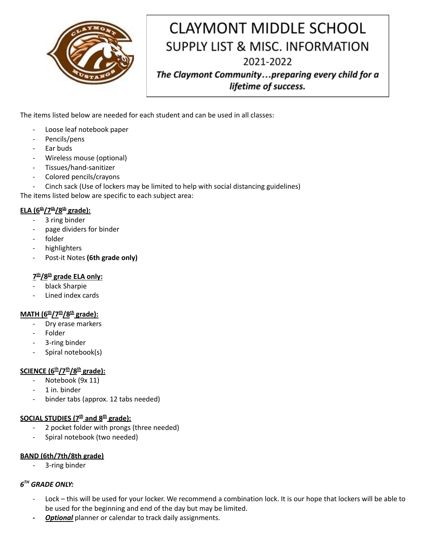

# **CLAYMONT MIDDLE SCHOOL** SUPPLY LIST & MISC. INFORMATION 2021-2022 The Claymont Community...preparing every child for a lifetime of success.

The items listed below are needed for each student and can be used in all classes:

- Loose leaf notebook paper
- Pencils/pens
- Ear buds
- Wireless mouse (optional)
- Tissues/hand-sanitizer
- Colored pencils/crayons
- Cinch sack (Use of lockers may be limited to help with social distancing guidelines)

The items listed below are specific to each subject area:

## **ELA (6 th/7 th/8 th grade):**

- 3 ring binder
- page dividers for binder
- folder
- highlighters
- Post-it Notes **(6th grade only)**

#### **7 th/8 th grade ELA only:**

- black Sharpie
- Lined index cards

## **MATH (6 th/7 th/8 th grade):**

- Dry erase markers
- Folder
- 3-ring binder
- Spiral notebook(s)

## **SCIENCE (6 th/7 th/8 th grade):**

- Notebook (9x 11)
- 1 in. binder
- binder tabs (approx. 12 tabs needed)

## **SOCIAL STUDIES (7 th and 8 th grade):**

- 2 pocket folder with prongs (three needed)
- Spiral notebook (two needed)

## **BAND (6th/7th/8th grade)**

- 3-ring binder

## *6 TH GRADE ONLY:*

- Lock this will be used for your locker. We recommend a combination lock. It is our hope that lockers will be able to be used for the beginning and end of the day but may be limited.
- **Optional** planner or calendar to track daily assignments.